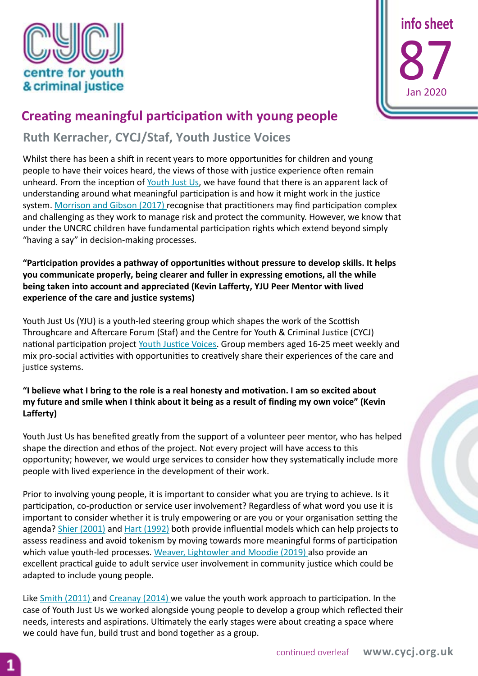



## **Creating meaningful participation with young people**

**Ruth Kerracher, CYCJ/Staf, Youth Justice Voices**

Whilst there has been a shift in recent years to more opportunities for children and young people to have their voices heard, the views of those with justice experience often remain unheard. From the inception of [Youth Just Us,](https://www.cycj.org.uk/news/introducing-youth-just-us/) we have found that there is an apparent lack of understanding around what meaningful participation is and how it might work in the justice system. [Morrison and Gibson \(2017\) r](https://cycj.org.uk/wp-content/uploads/2017/10/Info-sheet-66.pdf)ecognise that practitioners may find participation complex and challenging as they work to manage risk and protect the community. However, we know that under the UNCRC children have fundamental participation rights which extend beyond simply "having a say" in decision-making processes.

## **"Participation provides a pathway of opportunities without pressure to develop skills. It helps you communicate properly, being clearer and fuller in expressing emotions, all the while being taken into account and appreciated (Kevin Lafferty, YJU Peer Mentor with lived experience of the care and justice systems)**

Youth Just Us (YJU) is a youth-led steering group which shapes the work of the Scottish Throughcare and Aftercare Forum (Staf) and the Centre for Youth & Criminal Justice (CYCJ) national participation project [Youth Justice Voices.](https://www.cycj.org.uk/what-we-do/youth-justice-voices/) Group members aged 16-25 meet weekly and mix pro-social activities with opportunities to creatively share their experiences of the care and justice systems.

## **"I believe what I bring to the role is a real honesty and motivation. I am so excited about my future and smile when I think about it being as a result of finding my own voice" (Kevin Lafferty)**

Youth Just Us has benefited greatly from the support of a volunteer peer mentor, who has helped shape the direction and ethos of the project. Not every project will have access to this opportunity; however, we would urge services to consider how they systematically include more people with lived experience in the development of their work.

Prior to involving young people, it is important to consider what you are trying to achieve. Is it participation, co-production or service user involvement? Regardless of what word you use it is important to consider whether it is truly empowering or are you or your organisation setting the agenda? [Shier \(2001\)](https://onlinelibrary.wiley.com/doi/abs/10.1002/chi.617) and [Hart \(1992\)](https://www.unicef-irc.org/publications/100-childrens-participation-from-tokenism-to-citizenship.html) both provide influential models which can help projects to assess readiness and avoid tokenism by moving towards more meaningful forms of participation which value youth-led processes. [Weaver, Lightowler and Moodie \(2019\) a](https://cycj.org.uk/wp-content/uploads/2019/11/Inclusive-Justice-Guide.pdf)lso provide an excellent practical guide to adult service user involvement in community justice which could be adapted to include young people.

Like [Smith \(2011\)](http://infed.org/mobi/what-is-youth-work-exploring-the-history-theory-and-practice-of-work-with-young-people/) and [Creanay \(2014\) w](https://research.edgehill.ac.uk/en/publications/the-benefits-of-participation-for-youngoffenders-2)e value the youth work approach to participation. In the case of Youth Just Us we worked alongside young people to develop a group which reflected their needs, interests and aspirations. Ultimately the early stages were about creating a space where we could have fun, build trust and bond together as a group.